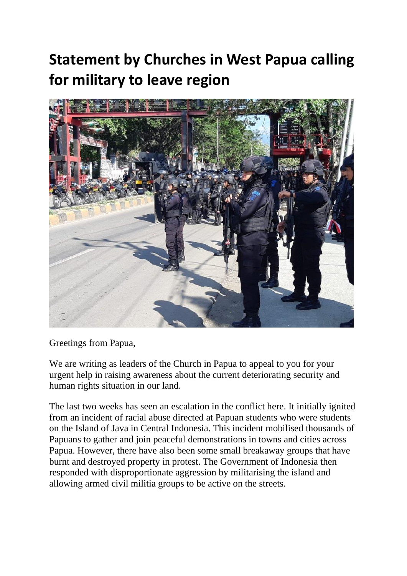## **Statement by Churches in West Papua calling for military to leave region**



Greetings from Papua,

We are writing as leaders of the Church in Papua to appeal to you for your urgent help in raising awareness about the current deteriorating security and human rights situation in our land.

The last two weeks has seen an escalation in the conflict here. It initially ignited from an incident of racial abuse directed at Papuan students who were students on the Island of Java in Central Indonesia. This incident mobilised thousands of Papuans to gather and join peaceful demonstrations in towns and cities across Papua. However, there have also been some small breakaway groups that have burnt and destroyed property in protest. The Government of Indonesia then responded with disproportionate aggression by militarising the island and allowing armed civil militia groups to be active on the streets.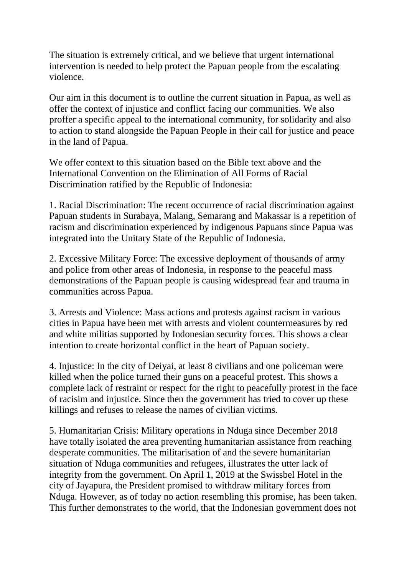The situation is extremely critical, and we believe that urgent international intervention is needed to help protect the Papuan people from the escalating violence.

Our aim in this document is to outline the current situation in Papua, as well as offer the context of injustice and conflict facing our communities. We also proffer a specific appeal to the international community, for solidarity and also to action to stand alongside the Papuan People in their call for justice and peace in the land of Papua.

We offer context to this situation based on the Bible text above and the International Convention on the Elimination of All Forms of Racial Discrimination ratified by the Republic of Indonesia:

1. Racial Discrimination: The recent occurrence of racial discrimination against Papuan students in Surabaya, Malang, Semarang and Makassar is a repetition of racism and discrimination experienced by indigenous Papuans since Papua was integrated into the Unitary State of the Republic of Indonesia.

2. Excessive Military Force: The excessive deployment of thousands of army and police from other areas of Indonesia, in response to the peaceful mass demonstrations of the Papuan people is causing widespread fear and trauma in communities across Papua.

3. Arrests and Violence: Mass actions and protests against racism in various cities in Papua have been met with arrests and violent countermeasures by red and white militias supported by Indonesian security forces. This shows a clear intention to create horizontal conflict in the heart of Papuan society.

4. Injustice: In the city of Deiyai, at least 8 civilians and one policeman were killed when the police turned their guns on a peaceful protest. This shows a complete lack of restraint or respect for the right to peacefully protest in the face of racisim and injustice. Since then the government has tried to cover up these killings and refuses to release the names of civilian victims.

5. Humanitarian Crisis: Military operations in Nduga since December 2018 have totally isolated the area preventing humanitarian assistance from reaching desperate communities. The militarisation of and the severe humanitarian situation of Nduga communities and refugees, illustrates the utter lack of integrity from the government. On April 1, 2019 at the Swissbel Hotel in the city of Jayapura, the President promised to withdraw military forces from Nduga. However, as of today no action resembling this promise, has been taken. This further demonstrates to the world, that the Indonesian government does not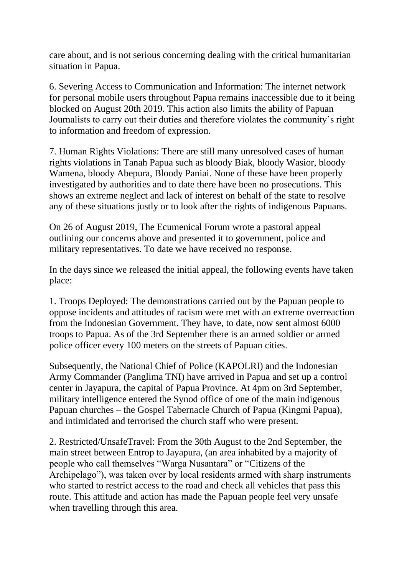care about, and is not serious concerning dealing with the critical humanitarian situation in Papua.

6. Severing Access to Communication and Information: The internet network for personal mobile users throughout Papua remains inaccessible due to it being blocked on August 20th 2019. This action also limits the ability of Papuan Journalists to carry out their duties and therefore violates the community's right to information and freedom of expression.

7. Human Rights Violations: There are still many unresolved cases of human rights violations in Tanah Papua such as bloody Biak, bloody Wasior, bloody Wamena, bloody Abepura, Bloody Paniai. None of these have been properly investigated by authorities and to date there have been no prosecutions. This shows an extreme neglect and lack of interest on behalf of the state to resolve any of these situations justly or to look after the rights of indigenous Papuans.

On 26 of August 2019, The Ecumenical Forum wrote a pastoral appeal outlining our concerns above and presented it to government, police and military representatives. To date we have received no response.

In the days since we released the initial appeal, the following events have taken place:

1. Troops Deployed: The demonstrations carried out by the Papuan people to oppose incidents and attitudes of racism were met with an extreme overreaction from the Indonesian Government. They have, to date, now sent almost 6000 troops to Papua. As of the 3rd September there is an armed soldier or armed police officer every 100 meters on the streets of Papuan cities.

Subsequently, the National Chief of Police (KAPOLRI) and the Indonesian Army Commander (Panglima TNI) have arrived in Papua and set up a control center in Jayapura, the capital of Papua Province. At 4pm on 3rd September, military intelligence entered the Synod office of one of the main indigenous Papuan churches – the Gospel Tabernacle Church of Papua (Kingmi Papua), and intimidated and terrorised the church staff who were present.

2. Restricted/UnsafeTravel: From the 30th August to the 2nd September, the main street between Entrop to Jayapura, (an area inhabited by a majority of people who call themselves "Warga Nusantara" or "Citizens of the Archipelago"), was taken over by local residents armed with sharp instruments who started to restrict access to the road and check all vehicles that pass this route. This attitude and action has made the Papuan people feel very unsafe when travelling through this area.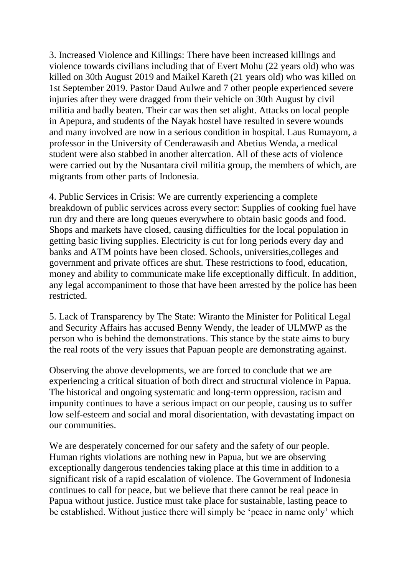3. Increased Violence and Killings: There have been increased killings and violence towards civilians including that of Evert Mohu (22 years old) who was killed on 30th August 2019 and Maikel Kareth (21 years old) who was killed on 1st September 2019. Pastor Daud Aulwe and 7 other people experienced severe injuries after they were dragged from their vehicle on 30th August by civil militia and badly beaten. Their car was then set alight. Attacks on local people in Apepura, and students of the Nayak hostel have resulted in severe wounds and many involved are now in a serious condition in hospital. Laus Rumayom, a professor in the University of Cenderawasih and Abetius Wenda, a medical student were also stabbed in another altercation. All of these acts of violence were carried out by the Nusantara civil militia group, the members of which, are migrants from other parts of Indonesia.

4. Public Services in Crisis: We are currently experiencing a complete breakdown of public services across every sector: Supplies of cooking fuel have run dry and there are long queues everywhere to obtain basic goods and food. Shops and markets have closed, causing difficulties for the local population in getting basic living supplies. Electricity is cut for long periods every day and banks and ATM points have been closed. Schools, universities,colleges and government and private offices are shut. These restrictions to food, education, money and ability to communicate make life exceptionally difficult. In addition, any legal accompaniment to those that have been arrested by the police has been restricted.

5. Lack of Transparency by The State: Wiranto the Minister for Political Legal and Security Affairs has accused Benny Wendy, the leader of ULMWP as the person who is behind the demonstrations. This stance by the state aims to bury the real roots of the very issues that Papuan people are demonstrating against.

Observing the above developments, we are forced to conclude that we are experiencing a critical situation of both direct and structural violence in Papua. The historical and ongoing systematic and long-term oppression, racism and impunity continues to have a serious impact on our people, causing us to suffer low self-esteem and social and moral disorientation, with devastating impact on our communities.

We are desperately concerned for our safety and the safety of our people. Human rights violations are nothing new in Papua, but we are observing exceptionally dangerous tendencies taking place at this time in addition to a significant risk of a rapid escalation of violence. The Government of Indonesia continues to call for peace, but we believe that there cannot be real peace in Papua without justice. Justice must take place for sustainable, lasting peace to be established. Without justice there will simply be 'peace in name only' which